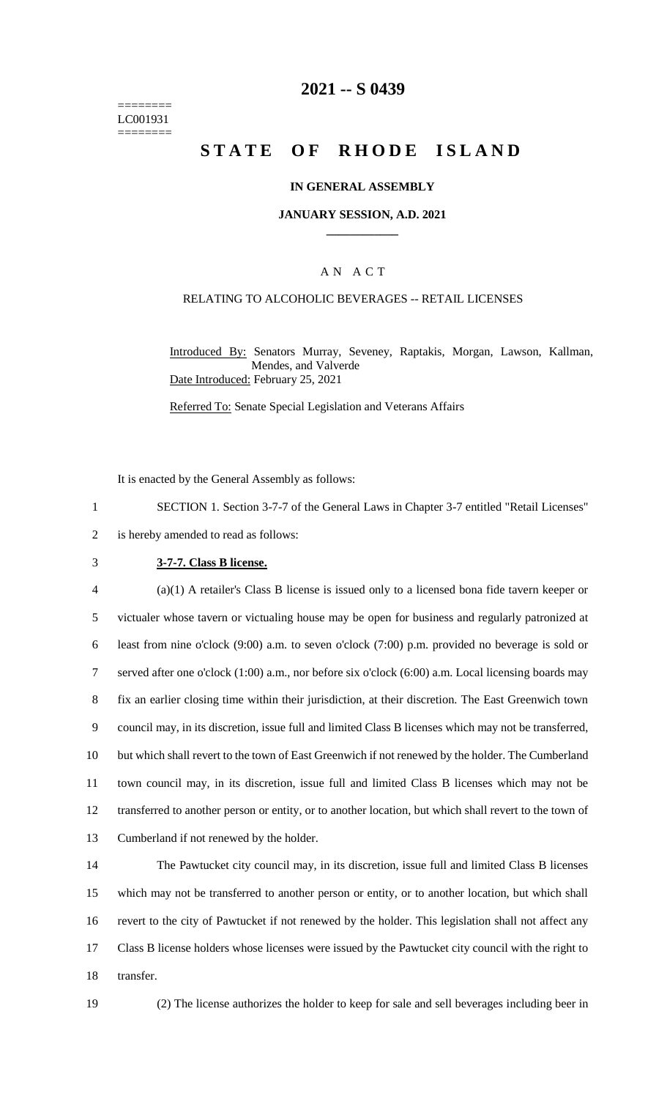======== LC001931 ========

## **2021 -- S 0439**

# **STATE OF RHODE ISLAND**

### **IN GENERAL ASSEMBLY**

#### **JANUARY SESSION, A.D. 2021 \_\_\_\_\_\_\_\_\_\_\_\_**

### A N A C T

#### RELATING TO ALCOHOLIC BEVERAGES -- RETAIL LICENSES

Introduced By: Senators Murray, Seveney, Raptakis, Morgan, Lawson, Kallman, Mendes, and Valverde Date Introduced: February 25, 2021

Referred To: Senate Special Legislation and Veterans Affairs

It is enacted by the General Assembly as follows:

1 SECTION 1. Section 3-7-7 of the General Laws in Chapter 3-7 entitled "Retail Licenses"

2 is hereby amended to read as follows:

### 3 **3-7-7. Class B license.**

 (a)(1) A retailer's Class B license is issued only to a licensed bona fide tavern keeper or victualer whose tavern or victualing house may be open for business and regularly patronized at least from nine o'clock (9:00) a.m. to seven o'clock (7:00) p.m. provided no beverage is sold or served after one o'clock (1:00) a.m., nor before six o'clock (6:00) a.m. Local licensing boards may fix an earlier closing time within their jurisdiction, at their discretion. The East Greenwich town council may, in its discretion, issue full and limited Class B licenses which may not be transferred, but which shall revert to the town of East Greenwich if not renewed by the holder. The Cumberland town council may, in its discretion, issue full and limited Class B licenses which may not be transferred to another person or entity, or to another location, but which shall revert to the town of Cumberland if not renewed by the holder.

 The Pawtucket city council may, in its discretion, issue full and limited Class B licenses which may not be transferred to another person or entity, or to another location, but which shall revert to the city of Pawtucket if not renewed by the holder. This legislation shall not affect any Class B license holders whose licenses were issued by the Pawtucket city council with the right to transfer.

19 (2) The license authorizes the holder to keep for sale and sell beverages including beer in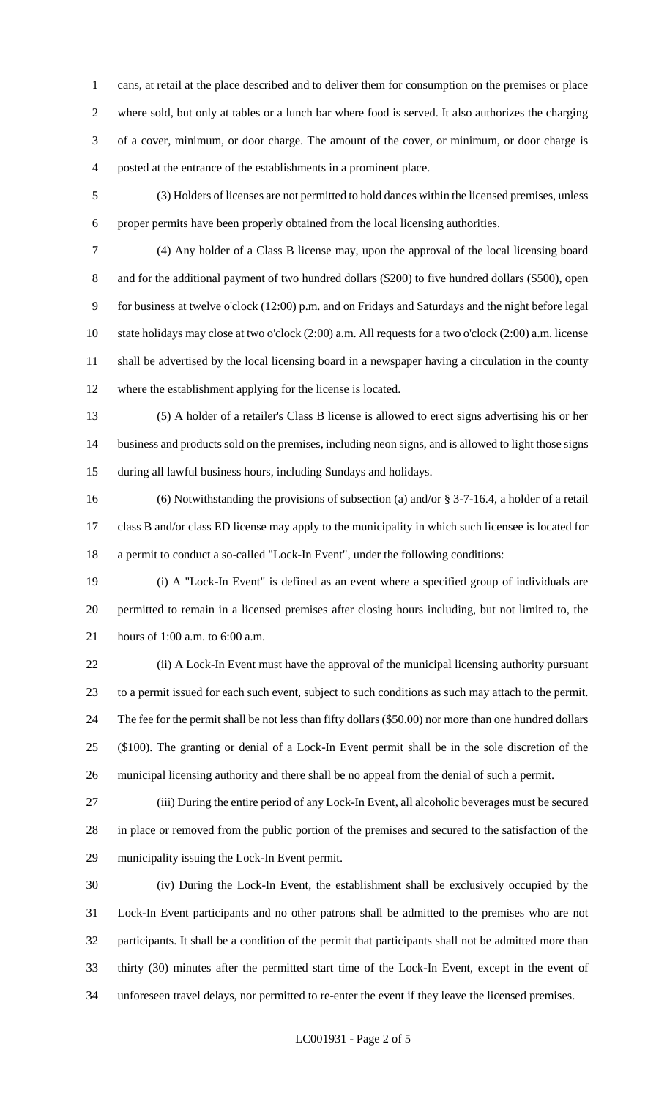cans, at retail at the place described and to deliver them for consumption on the premises or place where sold, but only at tables or a lunch bar where food is served. It also authorizes the charging of a cover, minimum, or door charge. The amount of the cover, or minimum, or door charge is posted at the entrance of the establishments in a prominent place.

 (3) Holders of licenses are not permitted to hold dances within the licensed premises, unless proper permits have been properly obtained from the local licensing authorities.

 (4) Any holder of a Class B license may, upon the approval of the local licensing board 8 and for the additional payment of two hundred dollars (\$200) to five hundred dollars (\$500), open for business at twelve o'clock (12:00) p.m. and on Fridays and Saturdays and the night before legal state holidays may close at two o'clock (2:00) a.m. All requests for a two o'clock (2:00) a.m. license

 shall be advertised by the local licensing board in a newspaper having a circulation in the county where the establishment applying for the license is located.

 (5) A holder of a retailer's Class B license is allowed to erect signs advertising his or her business and products sold on the premises, including neon signs, and is allowed to light those signs during all lawful business hours, including Sundays and holidays.

 (6) Notwithstanding the provisions of subsection (a) and/or § 3-7-16.4, a holder of a retail class B and/or class ED license may apply to the municipality in which such licensee is located for a permit to conduct a so-called "Lock-In Event", under the following conditions:

 (i) A "Lock-In Event" is defined as an event where a specified group of individuals are permitted to remain in a licensed premises after closing hours including, but not limited to, the hours of 1:00 a.m. to 6:00 a.m.

 (ii) A Lock-In Event must have the approval of the municipal licensing authority pursuant to a permit issued for each such event, subject to such conditions as such may attach to the permit. The fee for the permit shall be not less than fifty dollars (\$50.00) nor more than one hundred dollars (\$100). The granting or denial of a Lock-In Event permit shall be in the sole discretion of the municipal licensing authority and there shall be no appeal from the denial of such a permit.

 (iii) During the entire period of any Lock-In Event, all alcoholic beverages must be secured in place or removed from the public portion of the premises and secured to the satisfaction of the municipality issuing the Lock-In Event permit.

 (iv) During the Lock-In Event, the establishment shall be exclusively occupied by the Lock-In Event participants and no other patrons shall be admitted to the premises who are not participants. It shall be a condition of the permit that participants shall not be admitted more than thirty (30) minutes after the permitted start time of the Lock-In Event, except in the event of unforeseen travel delays, nor permitted to re-enter the event if they leave the licensed premises.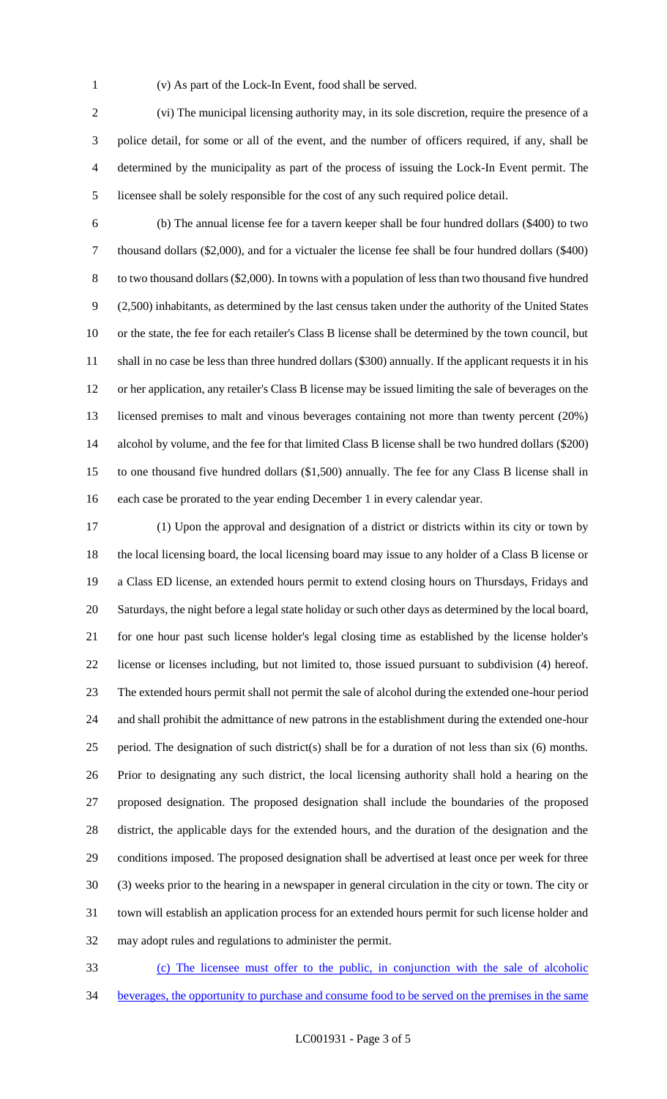(v) As part of the Lock-In Event, food shall be served.

 (vi) The municipal licensing authority may, in its sole discretion, require the presence of a police detail, for some or all of the event, and the number of officers required, if any, shall be determined by the municipality as part of the process of issuing the Lock-In Event permit. The licensee shall be solely responsible for the cost of any such required police detail.

 (b) The annual license fee for a tavern keeper shall be four hundred dollars (\$400) to two thousand dollars (\$2,000), and for a victualer the license fee shall be four hundred dollars (\$400) to two thousand dollars (\$2,000). In towns with a population of less than two thousand five hundred (2,500) inhabitants, as determined by the last census taken under the authority of the United States or the state, the fee for each retailer's Class B license shall be determined by the town council, but shall in no case be less than three hundred dollars (\$300) annually. If the applicant requests it in his or her application, any retailer's Class B license may be issued limiting the sale of beverages on the licensed premises to malt and vinous beverages containing not more than twenty percent (20%) alcohol by volume, and the fee for that limited Class B license shall be two hundred dollars (\$200) to one thousand five hundred dollars (\$1,500) annually. The fee for any Class B license shall in each case be prorated to the year ending December 1 in every calendar year.

 (1) Upon the approval and designation of a district or districts within its city or town by the local licensing board, the local licensing board may issue to any holder of a Class B license or a Class ED license, an extended hours permit to extend closing hours on Thursdays, Fridays and Saturdays, the night before a legal state holiday or such other days as determined by the local board, for one hour past such license holder's legal closing time as established by the license holder's license or licenses including, but not limited to, those issued pursuant to subdivision (4) hereof. The extended hours permit shall not permit the sale of alcohol during the extended one-hour period and shall prohibit the admittance of new patrons in the establishment during the extended one-hour period. The designation of such district(s) shall be for a duration of not less than six (6) months. Prior to designating any such district, the local licensing authority shall hold a hearing on the proposed designation. The proposed designation shall include the boundaries of the proposed district, the applicable days for the extended hours, and the duration of the designation and the conditions imposed. The proposed designation shall be advertised at least once per week for three (3) weeks prior to the hearing in a newspaper in general circulation in the city or town. The city or town will establish an application process for an extended hours permit for such license holder and may adopt rules and regulations to administer the permit.

 (c) The licensee must offer to the public, in conjunction with the sale of alcoholic beverages, the opportunity to purchase and consume food to be served on the premises in the same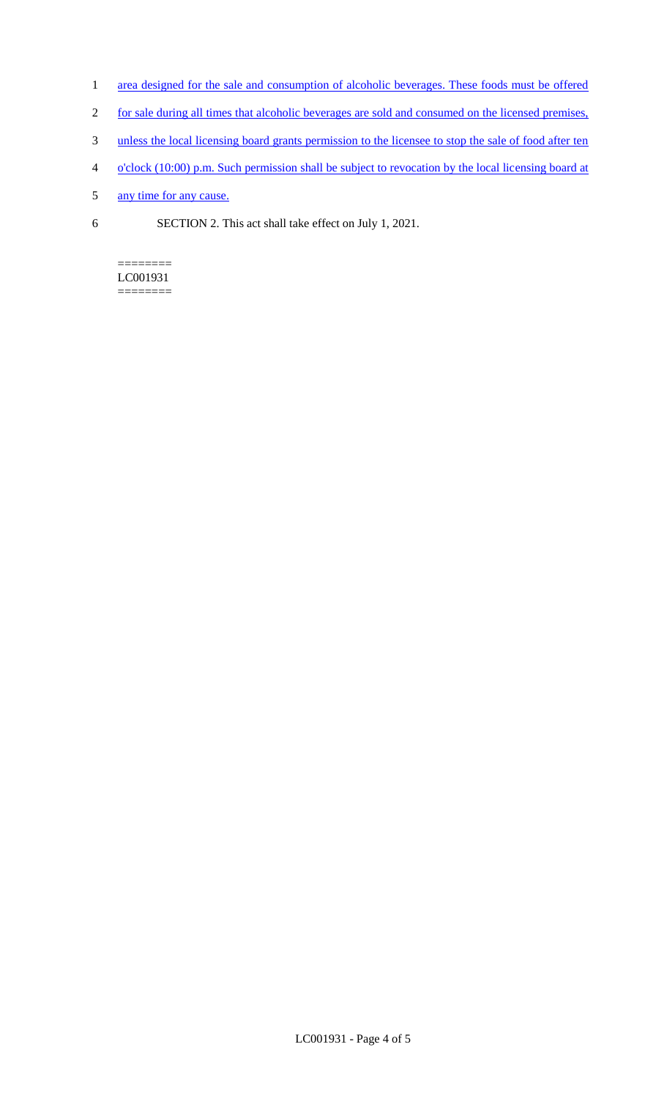- 1 area designed for the sale and consumption of alcoholic beverages. These foods must be offered
- 2 for sale during all times that alcoholic beverages are sold and consumed on the licensed premises,
- 3 unless the local licensing board grants permission to the licensee to stop the sale of food after ten
- 4 o'clock (10:00) p.m. Such permission shall be subject to revocation by the local licensing board at
- 5 any time for any cause.
- 6 SECTION 2. This act shall take effect on July 1, 2021.

#### ======== LC001931 ========